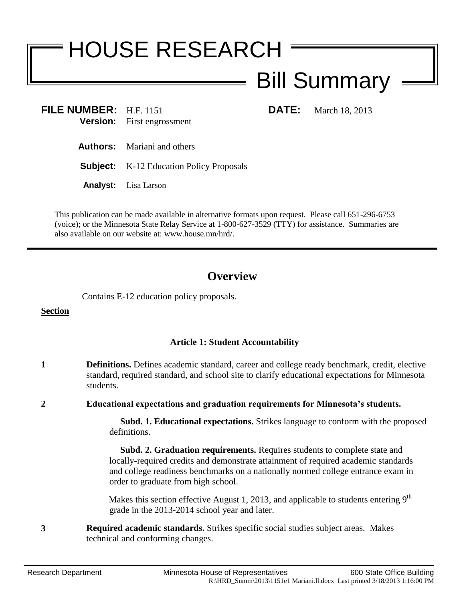# HOUSE RESEARCH

## Bill Summary

**FILE NUMBER:** H.F. 1151 **DATE:** March 18, 2013 **Version:** First engrossment

- **Authors:** Mariani and others
- **Subject:** K-12 Education Policy Proposals
- **Analyst:** Lisa Larson

This publication can be made available in alternative formats upon request. Please call 651-296-6753 (voice); or the Minnesota State Relay Service at 1-800-627-3529 (TTY) for assistance. Summaries are also available on our website at: www.house.mn/hrd/.

### **Overview**

Contains E-12 education policy proposals.

**Section** 

#### **Article 1: Student Accountability**

**1 Definitions.** Defines academic standard, career and college ready benchmark, credit, elective standard, required standard, and school site to clarify educational expectations for Minnesota students.

**2 Educational expectations and graduation requirements for Minnesota's students.**

 **Subd. 1. Educational expectations.** Strikes language to conform with the proposed definitions.

 **Subd. 2. Graduation requirements.** Requires students to complete state and locally-required credits and demonstrate attainment of required academic standards and college readiness benchmarks on a nationally normed college entrance exam in order to graduate from high school.

Makes this section effective August 1, 2013, and applicable to students entering  $9<sup>th</sup>$ grade in the 2013-2014 school year and later.

**3 Required academic standards.** Strikes specific social studies subject areas. Makes technical and conforming changes.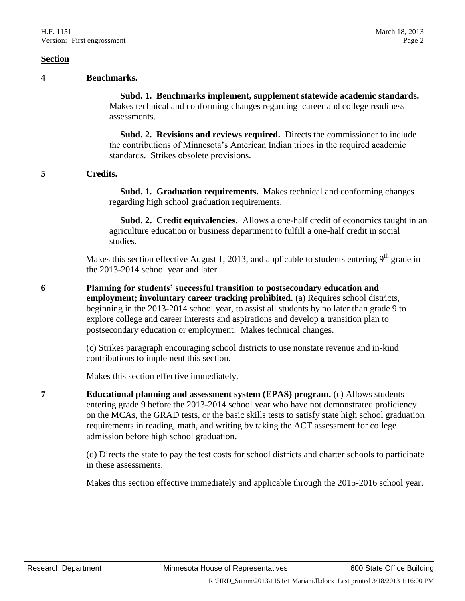#### **4 Benchmarks.**

 **Subd. 1. Benchmarks implement, supplement statewide academic standards.**  Makes technical and conforming changes regarding career and college readiness assessments.

 **Subd. 2. Revisions and reviews required.** Directs the commissioner to include the contributions of Minnesota's American Indian tribes in the required academic standards. Strikes obsolete provisions.

#### **5 Credits.**

 **Subd. 1. Graduation requirements.** Makes technical and conforming changes regarding high school graduation requirements.

 **Subd. 2. Credit equivalencies.** Allows a one-half credit of economics taught in an agriculture education or business department to fulfill a one-half credit in social studies.

Makes this section effective August 1, 2013, and applicable to students entering  $9<sup>th</sup>$  grade in the 2013-2014 school year and later.

**6 Planning for students' successful transition to postsecondary education and employment; involuntary career tracking prohibited.** (a) Requires school districts, beginning in the 2013-2014 school year, to assist all students by no later than grade 9 to explore college and career interests and aspirations and develop a transition plan to postsecondary education or employment. Makes technical changes.

> (c) Strikes paragraph encouraging school districts to use nonstate revenue and in-kind contributions to implement this section.

Makes this section effective immediately.

**7 Educational planning and assessment system (EPAS) program.** (c) Allows students entering grade 9 before the 2013-2014 school year who have not demonstrated proficiency on the MCAs, the GRAD tests, or the basic skills tests to satisfy state high school graduation requirements in reading, math, and writing by taking the ACT assessment for college admission before high school graduation.

> (d) Directs the state to pay the test costs for school districts and charter schools to participate in these assessments.

> Makes this section effective immediately and applicable through the 2015-2016 school year.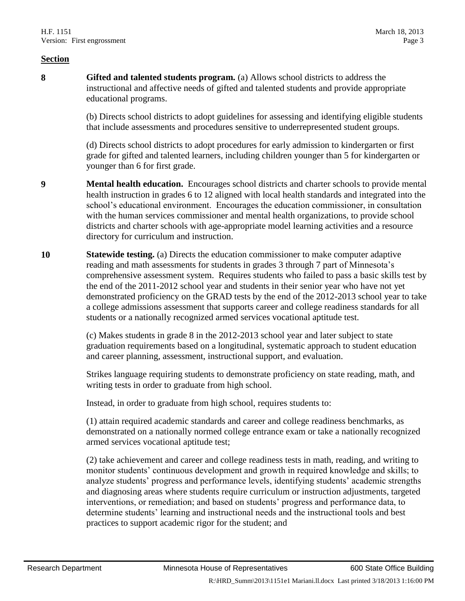**8 Gifted and talented students program.** (a) Allows school districts to address the instructional and affective needs of gifted and talented students and provide appropriate educational programs.

> (b) Directs school districts to adopt guidelines for assessing and identifying eligible students that include assessments and procedures sensitive to underrepresented student groups.

(d) Directs school districts to adopt procedures for early admission to kindergarten or first grade for gifted and talented learners, including children younger than 5 for kindergarten or younger than 6 for first grade.

- **9 Mental health education.** Encourages school districts and charter schools to provide mental health instruction in grades 6 to 12 aligned with local health standards and integrated into the school's educational environment. Encourages the education commissioner, in consultation with the human services commissioner and mental health organizations, to provide school districts and charter schools with age-appropriate model learning activities and a resource directory for curriculum and instruction.
- **10 Statewide testing.** (a) Directs the education commissioner to make computer adaptive reading and math assessments for students in grades 3 through 7 part of Minnesota's comprehensive assessment system. Requires students who failed to pass a basic skills test by the end of the 2011-2012 school year and students in their senior year who have not yet demonstrated proficiency on the GRAD tests by the end of the 2012-2013 school year to take a college admissions assessment that supports career and college readiness standards for all students or a nationally recognized armed services vocational aptitude test.

(c) Makes students in grade 8 in the 2012-2013 school year and later subject to state graduation requirements based on a longitudinal, systematic approach to student education and career planning, assessment, instructional support, and evaluation.

Strikes language requiring students to demonstrate proficiency on state reading, math, and writing tests in order to graduate from high school.

Instead, in order to graduate from high school, requires students to:

(1) attain required academic standards and career and college readiness benchmarks, as demonstrated on a nationally normed college entrance exam or take a nationally recognized armed services vocational aptitude test;

(2) take achievement and career and college readiness tests in math, reading, and writing to monitor students' continuous development and growth in required knowledge and skills; to analyze students' progress and performance levels, identifying students' academic strengths and diagnosing areas where students require curriculum or instruction adjustments, targeted interventions, or remediation; and based on students' progress and performance data, to determine students' learning and instructional needs and the instructional tools and best practices to support academic rigor for the student; and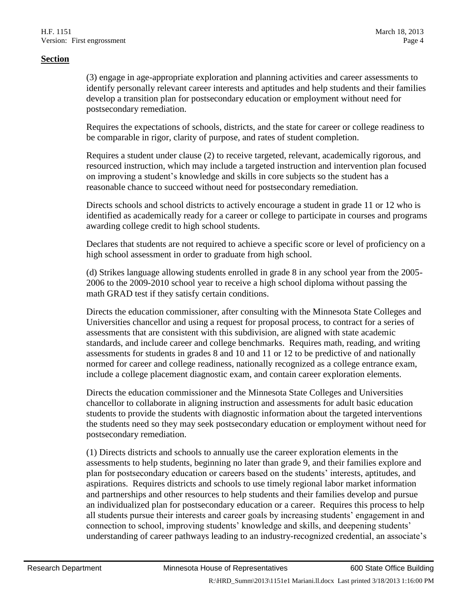(3) engage in age-appropriate exploration and planning activities and career assessments to identify personally relevant career interests and aptitudes and help students and their families develop a transition plan for postsecondary education or employment without need for postsecondary remediation.

Requires the expectations of schools, districts, and the state for career or college readiness to be comparable in rigor, clarity of purpose, and rates of student completion.

Requires a student under clause (2) to receive targeted, relevant, academically rigorous, and resourced instruction, which may include a targeted instruction and intervention plan focused on improving a student's knowledge and skills in core subjects so the student has a reasonable chance to succeed without need for postsecondary remediation.

Directs schools and school districts to actively encourage a student in grade 11 or 12 who is identified as academically ready for a career or college to participate in courses and programs awarding college credit to high school students.

Declares that students are not required to achieve a specific score or level of proficiency on a high school assessment in order to graduate from high school.

(d) Strikes language allowing students enrolled in grade 8 in any school year from the 2005- 2006 to the 2009-2010 school year to receive a high school diploma without passing the math GRAD test if they satisfy certain conditions.

Directs the education commissioner, after consulting with the Minnesota State Colleges and Universities chancellor and using a request for proposal process, to contract for a series of assessments that are consistent with this subdivision, are aligned with state academic standards, and include career and college benchmarks. Requires math, reading, and writing assessments for students in grades 8 and 10 and 11 or 12 to be predictive of and nationally normed for career and college readiness, nationally recognized as a college entrance exam, include a college placement diagnostic exam, and contain career exploration elements.

Directs the education commissioner and the Minnesota State Colleges and Universities chancellor to collaborate in aligning instruction and assessments for adult basic education students to provide the students with diagnostic information about the targeted interventions the students need so they may seek postsecondary education or employment without need for postsecondary remediation.

(1) Directs districts and schools to annually use the career exploration elements in the assessments to help students, beginning no later than grade 9, and their families explore and plan for postsecondary education or careers based on the students' interests, aptitudes, and aspirations. Requires districts and schools to use timely regional labor market information and partnerships and other resources to help students and their families develop and pursue an individualized plan for postsecondary education or a career. Requires this process to help all students pursue their interests and career goals by increasing students' engagement in and connection to school, improving students' knowledge and skills, and deepening students' understanding of career pathways leading to an industry-recognized credential, an associate's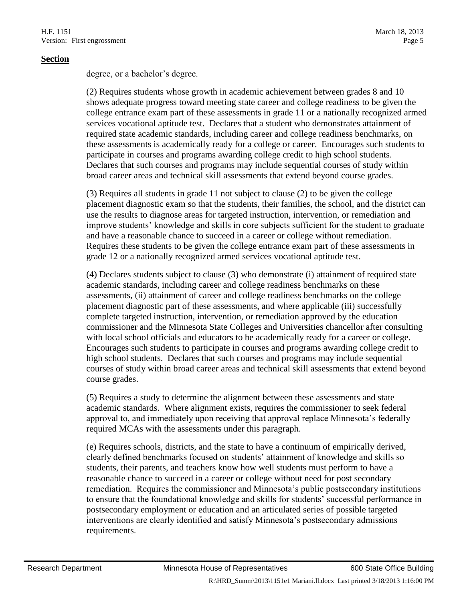degree, or a bachelor's degree.

(2) Requires students whose growth in academic achievement between grades 8 and 10 shows adequate progress toward meeting state career and college readiness to be given the college entrance exam part of these assessments in grade 11 or a nationally recognized armed services vocational aptitude test. Declares that a student who demonstrates attainment of required state academic standards, including career and college readiness benchmarks, on these assessments is academically ready for a college or career. Encourages such students to participate in courses and programs awarding college credit to high school students. Declares that such courses and programs may include sequential courses of study within broad career areas and technical skill assessments that extend beyond course grades.

(3) Requires all students in grade 11 not subject to clause (2) to be given the college placement diagnostic exam so that the students, their families, the school, and the district can use the results to diagnose areas for targeted instruction, intervention, or remediation and improve students' knowledge and skills in core subjects sufficient for the student to graduate and have a reasonable chance to succeed in a career or college without remediation. Requires these students to be given the college entrance exam part of these assessments in grade 12 or a nationally recognized armed services vocational aptitude test.

(4) Declares students subject to clause (3) who demonstrate (i) attainment of required state academic standards, including career and college readiness benchmarks on these assessments, (ii) attainment of career and college readiness benchmarks on the college placement diagnostic part of these assessments, and where applicable (iii) successfully complete targeted instruction, intervention, or remediation approved by the education commissioner and the Minnesota State Colleges and Universities chancellor after consulting with local school officials and educators to be academically ready for a career or college. Encourages such students to participate in courses and programs awarding college credit to high school students. Declares that such courses and programs may include sequential courses of study within broad career areas and technical skill assessments that extend beyond course grades.

(5) Requires a study to determine the alignment between these assessments and state academic standards. Where alignment exists, requires the commissioner to seek federal approval to, and immediately upon receiving that approval replace Minnesota's federally required MCAs with the assessments under this paragraph.

(e) Requires schools, districts, and the state to have a continuum of empirically derived, clearly defined benchmarks focused on students' attainment of knowledge and skills so students, their parents, and teachers know how well students must perform to have a reasonable chance to succeed in a career or college without need for post secondary remediation. Requires the commissioner and Minnesota's public postsecondary institutions to ensure that the foundational knowledge and skills for students' successful performance in postsecondary employment or education and an articulated series of possible targeted interventions are clearly identified and satisfy Minnesota's postsecondary admissions requirements.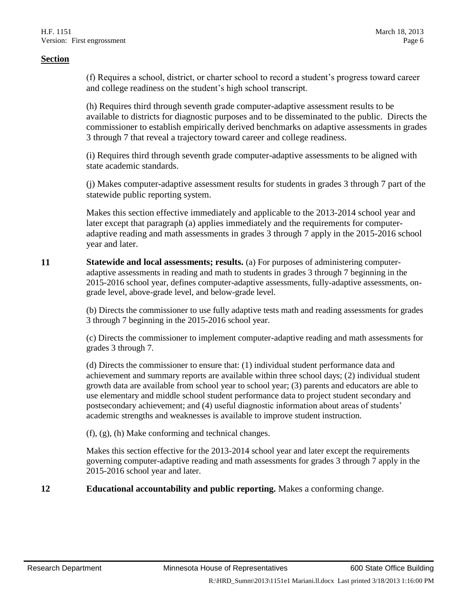(f) Requires a school, district, or charter school to record a student's progress toward career and college readiness on the student's high school transcript.

(h) Requires third through seventh grade computer-adaptive assessment results to be available to districts for diagnostic purposes and to be disseminated to the public. Directs the commissioner to establish empirically derived benchmarks on adaptive assessments in grades 3 through 7 that reveal a trajectory toward career and college readiness.

(i) Requires third through seventh grade computer-adaptive assessments to be aligned with state academic standards.

(j) Makes computer-adaptive assessment results for students in grades 3 through 7 part of the statewide public reporting system.

Makes this section effective immediately and applicable to the 2013-2014 school year and later except that paragraph (a) applies immediately and the requirements for computeradaptive reading and math assessments in grades 3 through 7 apply in the 2015-2016 school year and later.

**11 Statewide and local assessments; results.** (a) For purposes of administering computeradaptive assessments in reading and math to students in grades 3 through 7 beginning in the 2015-2016 school year, defines computer-adaptive assessments, fully-adaptive assessments, ongrade level, above-grade level, and below-grade level.

> (b) Directs the commissioner to use fully adaptive tests math and reading assessments for grades 3 through 7 beginning in the 2015-2016 school year.

> (c) Directs the commissioner to implement computer-adaptive reading and math assessments for grades 3 through 7.

> (d) Directs the commissioner to ensure that: (1) individual student performance data and achievement and summary reports are available within three school days; (2) individual student growth data are available from school year to school year; (3) parents and educators are able to use elementary and middle school student performance data to project student secondary and postsecondary achievement; and (4) useful diagnostic information about areas of students' academic strengths and weaknesses is available to improve student instruction.

(f), (g), (h) Make conforming and technical changes.

Makes this section effective for the 2013-2014 school year and later except the requirements governing computer-adaptive reading and math assessments for grades 3 through 7 apply in the 2015-2016 school year and later.

**12 Educational accountability and public reporting.** Makes a conforming change.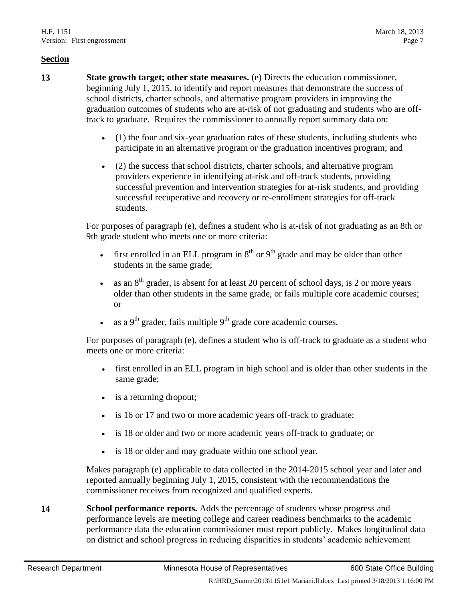- **13 State growth target; other state measures.** (e) Directs the education commissioner, beginning July 1, 2015, to identify and report measures that demonstrate the success of school districts, charter schools, and alternative program providers in improving the graduation outcomes of students who are at-risk of not graduating and students who are offtrack to graduate. Requires the commissioner to annually report summary data on:
	- (1) the four and six-year graduation rates of these students, including students who participate in an alternative program or the graduation incentives program; and
	- (2) the success that school districts, charter schools, and alternative program providers experience in identifying at-risk and off-track students, providing successful prevention and intervention strategies for at-risk students, and providing successful recuperative and recovery or re-enrollment strategies for off-track students.

For purposes of paragraph (e), defines a student who is at-risk of not graduating as an 8th or 9th grade student who meets one or more criteria:

- first enrolled in an ELL program in  $8<sup>th</sup>$  or  $9<sup>th</sup>$  grade and may be older than other students in the same grade;
- as an 8th grader, is absent for at least 20 percent of school days, is 2 or more years older than other students in the same grade, or fails multiple core academic courses; or
- as a  $9<sup>th</sup>$  grader, fails multiple  $9<sup>th</sup>$  grade core academic courses.

For purposes of paragraph (e), defines a student who is off-track to graduate as a student who meets one or more criteria:

- first enrolled in an ELL program in high school and is older than other students in the same grade;
- is a returning dropout;
- is 16 or 17 and two or more academic years off-track to graduate;
- is 18 or older and two or more academic years off-track to graduate; or
- is 18 or older and may graduate within one school year.

Makes paragraph (e) applicable to data collected in the 2014-2015 school year and later and reported annually beginning July 1, 2015, consistent with the recommendations the commissioner receives from recognized and qualified experts.

**14 School performance reports.** Adds the percentage of students whose progress and performance levels are meeting college and career readiness benchmarks to the academic performance data the education commissioner must report publicly. Makes longitudinal data on district and school progress in reducing disparities in students' academic achievement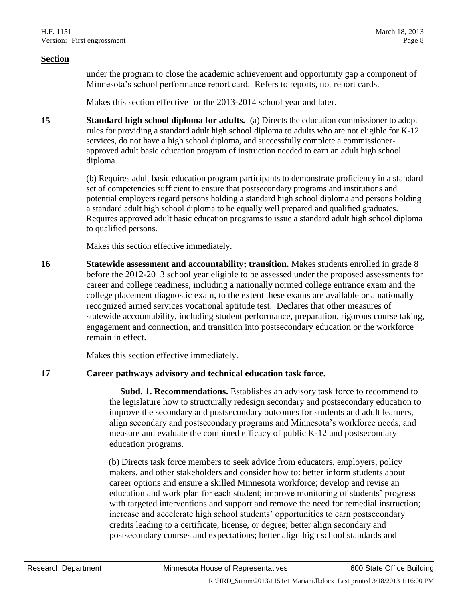under the program to close the academic achievement and opportunity gap a component of Minnesota's school performance report card. Refers to reports, not report cards.

Makes this section effective for the 2013-2014 school year and later.

**15 Standard high school diploma for adults.** (a) Directs the education commissioner to adopt rules for providing a standard adult high school diploma to adults who are not eligible for K-12 services, do not have a high school diploma, and successfully complete a commissionerapproved adult basic education program of instruction needed to earn an adult high school diploma.

> (b) Requires adult basic education program participants to demonstrate proficiency in a standard set of competencies sufficient to ensure that postsecondary programs and institutions and potential employers regard persons holding a standard high school diploma and persons holding a standard adult high school diploma to be equally well prepared and qualified graduates. Requires approved adult basic education programs to issue a standard adult high school diploma to qualified persons.

Makes this section effective immediately.

**16 Statewide assessment and accountability; transition.** Makes students enrolled in grade 8 before the 2012-2013 school year eligible to be assessed under the proposed assessments for career and college readiness, including a nationally normed college entrance exam and the college placement diagnostic exam, to the extent these exams are available or a nationally recognized armed services vocational aptitude test. Declares that other measures of statewide accountability, including student performance, preparation, rigorous course taking, engagement and connection, and transition into postsecondary education or the workforce remain in effect.

Makes this section effective immediately.

#### **17 Career pathways advisory and technical education task force.**

 **Subd. 1. Recommendations.** Establishes an advisory task force to recommend to the legislature how to structurally redesign secondary and postsecondary education to improve the secondary and postsecondary outcomes for students and adult learners, align secondary and postsecondary programs and Minnesota's workforce needs, and measure and evaluate the combined efficacy of public K-12 and postsecondary education programs.

(b) Directs task force members to seek advice from educators, employers, policy makers, and other stakeholders and consider how to: better inform students about career options and ensure a skilled Minnesota workforce; develop and revise an education and work plan for each student; improve monitoring of students' progress with targeted interventions and support and remove the need for remedial instruction; increase and accelerate high school students' opportunities to earn postsecondary credits leading to a certificate, license, or degree; better align secondary and postsecondary courses and expectations; better align high school standards and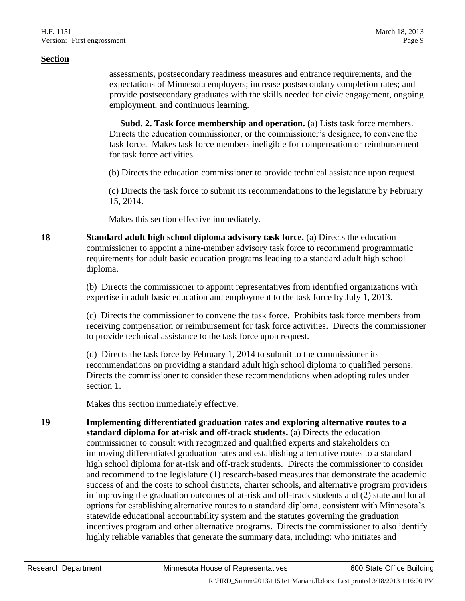assessments, postsecondary readiness measures and entrance requirements, and the expectations of Minnesota employers; increase postsecondary completion rates; and provide postsecondary graduates with the skills needed for civic engagement, ongoing employment, and continuous learning.

**Subd. 2. Task force membership and operation.** (a) Lists task force members. Directs the education commissioner, or the commissioner's designee, to convene the task force. Makes task force members ineligible for compensation or reimbursement for task force activities.

(b) Directs the education commissioner to provide technical assistance upon request.

(c) Directs the task force to submit its recommendations to the legislature by February 15, 2014.

Makes this section effective immediately.

**18 Standard adult high school diploma advisory task force.** (a) Directs the education commissioner to appoint a nine-member advisory task force to recommend programmatic requirements for adult basic education programs leading to a standard adult high school diploma.

> (b) Directs the commissioner to appoint representatives from identified organizations with expertise in adult basic education and employment to the task force by July 1, 2013.

(c) Directs the commissioner to convene the task force. Prohibits task force members from receiving compensation or reimbursement for task force activities. Directs the commissioner to provide technical assistance to the task force upon request.

(d) Directs the task force by February 1, 2014 to submit to the commissioner its recommendations on providing a standard adult high school diploma to qualified persons. Directs the commissioner to consider these recommendations when adopting rules under section 1.

Makes this section immediately effective.

**19 Implementing differentiated graduation rates and exploring alternative routes to a standard diploma for at-risk and off-track students.** (a) Directs the education commissioner to consult with recognized and qualified experts and stakeholders on improving differentiated graduation rates and establishing alternative routes to a standard high school diploma for at-risk and off-track students. Directs the commissioner to consider and recommend to the legislature (1) research-based measures that demonstrate the academic success of and the costs to school districts, charter schools, and alternative program providers in improving the graduation outcomes of at-risk and off-track students and (2) state and local options for establishing alternative routes to a standard diploma, consistent with Minnesota's statewide educational accountability system and the statutes governing the graduation incentives program and other alternative programs. Directs the commissioner to also identify highly reliable variables that generate the summary data, including: who initiates and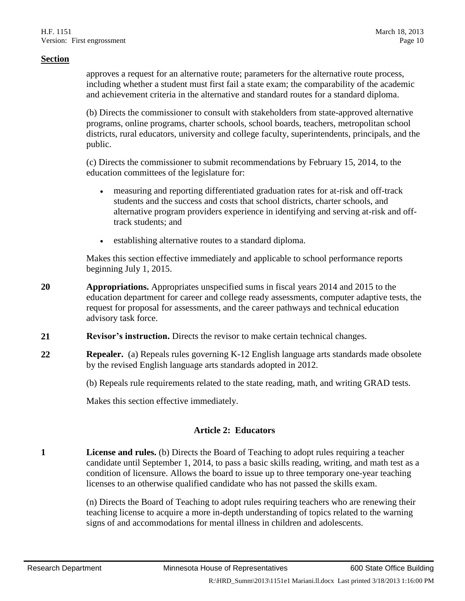approves a request for an alternative route; parameters for the alternative route process, including whether a student must first fail a state exam; the comparability of the academic and achievement criteria in the alternative and standard routes for a standard diploma.

(b) Directs the commissioner to consult with stakeholders from state-approved alternative programs, online programs, charter schools, school boards, teachers, metropolitan school districts, rural educators, university and college faculty, superintendents, principals, and the public.

(c) Directs the commissioner to submit recommendations by February 15, 2014, to the education committees of the legislature for:

- measuring and reporting differentiated graduation rates for at-risk and off-track students and the success and costs that school districts, charter schools, and alternative program providers experience in identifying and serving at-risk and offtrack students; and
- establishing alternative routes to a standard diploma.

Makes this section effective immediately and applicable to school performance reports beginning July 1, 2015.

- **20 Appropriations.** Appropriates unspecified sums in fiscal years 2014 and 2015 to the education department for career and college ready assessments, computer adaptive tests, the request for proposal for assessments, and the career pathways and technical education advisory task force.
- **21 Revisor's instruction.** Directs the revisor to make certain technical changes.
- **22 Repealer.** (a) Repeals rules governing K-12 English language arts standards made obsolete by the revised English language arts standards adopted in 2012.

(b) Repeals rule requirements related to the state reading, math, and writing GRAD tests.

Makes this section effective immediately.

#### **Article 2: Educators**

**1 License and rules.** (b) Directs the Board of Teaching to adopt rules requiring a teacher candidate until September 1, 2014, to pass a basic skills reading, writing, and math test as a condition of licensure. Allows the board to issue up to three temporary one-year teaching licenses to an otherwise qualified candidate who has not passed the skills exam.

> (n) Directs the Board of Teaching to adopt rules requiring teachers who are renewing their teaching license to acquire a more in-depth understanding of topics related to the warning signs of and accommodations for mental illness in children and adolescents.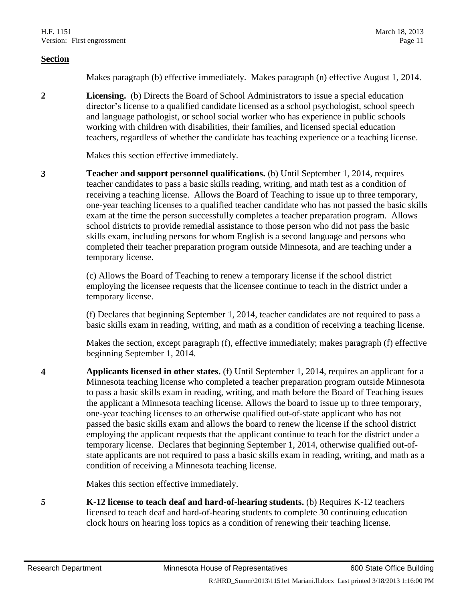Makes paragraph (b) effective immediately. Makes paragraph (n) effective August 1, 2014.

**2 Licensing.** (b) Directs the Board of School Administrators to issue a special education director's license to a qualified candidate licensed as a school psychologist, school speech and language pathologist, or school social worker who has experience in public schools working with children with disabilities, their families, and licensed special education teachers, regardless of whether the candidate has teaching experience or a teaching license.

Makes this section effective immediately.

**3 Teacher and support personnel qualifications.** (b) Until September 1, 2014, requires teacher candidates to pass a basic skills reading, writing, and math test as a condition of receiving a teaching license. Allows the Board of Teaching to issue up to three temporary, one-year teaching licenses to a qualified teacher candidate who has not passed the basic skills exam at the time the person successfully completes a teacher preparation program. Allows school districts to provide remedial assistance to those person who did not pass the basic skills exam, including persons for whom English is a second language and persons who completed their teacher preparation program outside Minnesota, and are teaching under a temporary license.

> (c) Allows the Board of Teaching to renew a temporary license if the school district employing the licensee requests that the licensee continue to teach in the district under a temporary license.

(f) Declares that beginning September 1, 2014, teacher candidates are not required to pass a basic skills exam in reading, writing, and math as a condition of receiving a teaching license.

Makes the section, except paragraph (f), effective immediately; makes paragraph (f) effective beginning September 1, 2014.

**4 Applicants licensed in other states.** (f) Until September 1, 2014, requires an applicant for a Minnesota teaching license who completed a teacher preparation program outside Minnesota to pass a basic skills exam in reading, writing, and math before the Board of Teaching issues the applicant a Minnesota teaching license. Allows the board to issue up to three temporary, one-year teaching licenses to an otherwise qualified out-of-state applicant who has not passed the basic skills exam and allows the board to renew the license if the school district employing the applicant requests that the applicant continue to teach for the district under a temporary license. Declares that beginning September 1, 2014, otherwise qualified out-ofstate applicants are not required to pass a basic skills exam in reading, writing, and math as a condition of receiving a Minnesota teaching license.

Makes this section effective immediately.

**5 K-12 license to teach deaf and hard-of-hearing students.** (b) Requires K-12 teachers licensed to teach deaf and hard-of-hearing students to complete 30 continuing education clock hours on hearing loss topics as a condition of renewing their teaching license.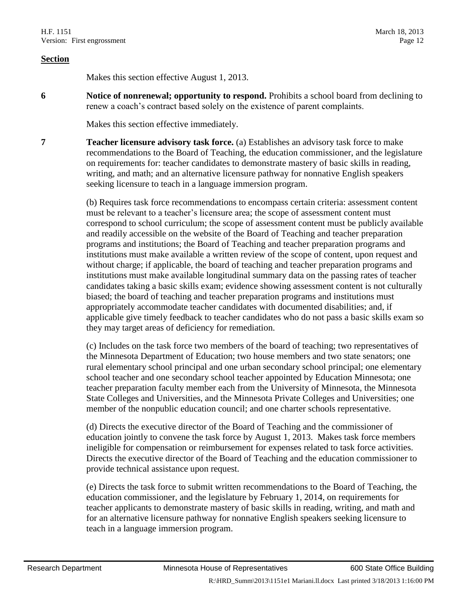Makes this section effective August 1, 2013.

**6 Notice of nonrenewal; opportunity to respond.** Prohibits a school board from declining to renew a coach's contract based solely on the existence of parent complaints.

Makes this section effective immediately.

**7 Teacher licensure advisory task force.** (a) Establishes an advisory task force to make recommendations to the Board of Teaching, the education commissioner, and the legislature on requirements for: teacher candidates to demonstrate mastery of basic skills in reading, writing, and math; and an alternative licensure pathway for nonnative English speakers seeking licensure to teach in a language immersion program.

> (b) Requires task force recommendations to encompass certain criteria: assessment content must be relevant to a teacher's licensure area; the scope of assessment content must correspond to school curriculum; the scope of assessment content must be publicly available and readily accessible on the website of the Board of Teaching and teacher preparation programs and institutions; the Board of Teaching and teacher preparation programs and institutions must make available a written review of the scope of content, upon request and without charge; if applicable, the board of teaching and teacher preparation programs and institutions must make available longitudinal summary data on the passing rates of teacher candidates taking a basic skills exam; evidence showing assessment content is not culturally biased; the board of teaching and teacher preparation programs and institutions must appropriately accommodate teacher candidates with documented disabilities; and, if applicable give timely feedback to teacher candidates who do not pass a basic skills exam so they may target areas of deficiency for remediation.

> (c) Includes on the task force two members of the board of teaching; two representatives of the Minnesota Department of Education; two house members and two state senators; one rural elementary school principal and one urban secondary school principal; one elementary school teacher and one secondary school teacher appointed by Education Minnesota; one teacher preparation faculty member each from the University of Minnesota, the Minnesota State Colleges and Universities, and the Minnesota Private Colleges and Universities; one member of the nonpublic education council; and one charter schools representative.

(d) Directs the executive director of the Board of Teaching and the commissioner of education jointly to convene the task force by August 1, 2013. Makes task force members ineligible for compensation or reimbursement for expenses related to task force activities. Directs the executive director of the Board of Teaching and the education commissioner to provide technical assistance upon request.

(e) Directs the task force to submit written recommendations to the Board of Teaching, the education commissioner, and the legislature by February 1, 2014, on requirements for teacher applicants to demonstrate mastery of basic skills in reading, writing, and math and for an alternative licensure pathway for nonnative English speakers seeking licensure to teach in a language immersion program.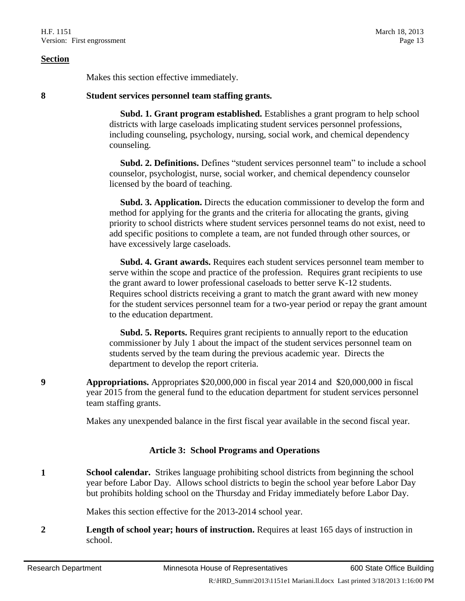Makes this section effective immediately.

#### **8 Student services personnel team staffing grants.**

 **Subd. 1. Grant program established.** Establishes a grant program to help school districts with large caseloads implicating student services personnel professions, including counseling, psychology, nursing, social work, and chemical dependency counseling.

 **Subd. 2. Definitions.** Defines "student services personnel team" to include a school counselor, psychologist, nurse, social worker, and chemical dependency counselor licensed by the board of teaching.

 **Subd. 3. Application.** Directs the education commissioner to develop the form and method for applying for the grants and the criteria for allocating the grants, giving priority to school districts where student services personnel teams do not exist, need to add specific positions to complete a team, are not funded through other sources, or have excessively large caseloads.

 **Subd. 4. Grant awards.** Requires each student services personnel team member to serve within the scope and practice of the profession. Requires grant recipients to use the grant award to lower professional caseloads to better serve K-12 students. Requires school districts receiving a grant to match the grant award with new money for the student services personnel team for a two-year period or repay the grant amount to the education department.

 **Subd. 5. Reports.** Requires grant recipients to annually report to the education commissioner by July 1 about the impact of the student services personnel team on students served by the team during the previous academic year. Directs the department to develop the report criteria.

**9 Appropriations.** Appropriates \$20,000,000 in fiscal year 2014 and \$20,000,000 in fiscal year 2015 from the general fund to the education department for student services personnel team staffing grants.

Makes any unexpended balance in the first fiscal year available in the second fiscal year.

#### **Article 3: School Programs and Operations**

**1 School calendar.** Strikes language prohibiting school districts from beginning the school year before Labor Day. Allows school districts to begin the school year before Labor Day but prohibits holding school on the Thursday and Friday immediately before Labor Day.

Makes this section effective for the 2013-2014 school year.

**2 Length of school year; hours of instruction.** Requires at least 165 days of instruction in school.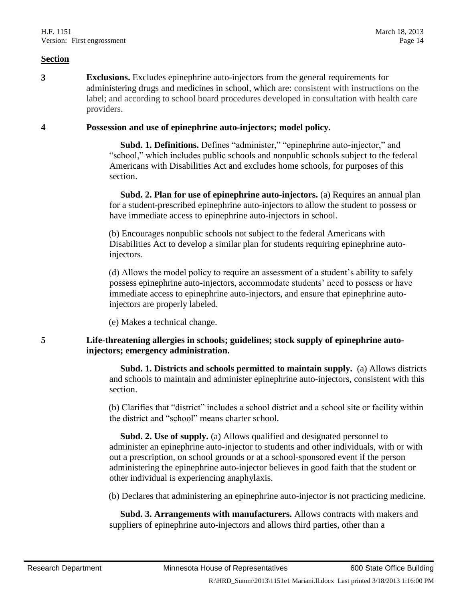**3 Exclusions.** Excludes epinephrine auto-injectors from the general requirements for administering drugs and medicines in school, which are: consistent with instructions on the label; and according to school board procedures developed in consultation with health care providers.

#### **4 Possession and use of epinephrine auto-injectors; model policy.**

 **Subd. 1. Definitions.** Defines "administer," "epinephrine auto-injector," and "school," which includes public schools and nonpublic schools subject to the federal Americans with Disabilities Act and excludes home schools, for purposes of this section.

 **Subd. 2. Plan for use of epinephrine auto-injectors.** (a) Requires an annual plan for a student-prescribed epinephrine auto-injectors to allow the student to possess or have immediate access to epinephrine auto-injectors in school.

(b) Encourages nonpublic schools not subject to the federal Americans with Disabilities Act to develop a similar plan for students requiring epinephrine autoinjectors.

(d) Allows the model policy to require an assessment of a student's ability to safely possess epinephrine auto-injectors, accommodate students' need to possess or have immediate access to epinephrine auto-injectors, and ensure that epinephrine autoinjectors are properly labeled.

(e) Makes a technical change.

#### **5 Life-threatening allergies in schools; guidelines; stock supply of epinephrine autoinjectors; emergency administration.**

 **Subd. 1. Districts and schools permitted to maintain supply.** (a) Allows districts and schools to maintain and administer epinephrine auto-injectors, consistent with this section.

(b) Clarifies that "district" includes a school district and a school site or facility within the district and "school" means charter school.

 **Subd. 2. Use of supply.** (a) Allows qualified and designated personnel to administer an epinephrine auto-injector to students and other individuals, with or with out a prescription, on school grounds or at a school-sponsored event if the person administering the epinephrine auto-injector believes in good faith that the student or other individual is experiencing anaphylaxis.

(b) Declares that administering an epinephrine auto-injector is not practicing medicine.

 **Subd. 3. Arrangements with manufacturers.** Allows contracts with makers and suppliers of epinephrine auto-injectors and allows third parties, other than a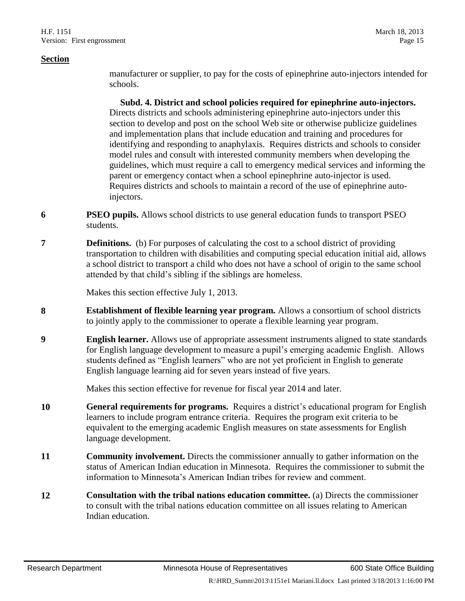manufacturer or supplier, to pay for the costs of epinephrine auto-injectors intended for schools.

 **Subd. 4. District and school policies required for epinephrine auto-injectors.** Directs districts and schools administering epinephrine auto-injectors under this section to develop and post on the school Web site or otherwise publicize guidelines and implementation plans that include education and training and procedures for identifying and responding to anaphylaxis. Requires districts and schools to consider model rules and consult with interested community members when developing the guidelines, which must require a call to emergency medical services and informing the parent or emergency contact when a school epinephrine auto-injector is used. Requires districts and schools to maintain a record of the use of epinephrine autoinjectors.

- **6 PSEO pupils.** Allows school districts to use general education funds to transport PSEO students.
- **7 Definitions.** (b) For purposes of calculating the cost to a school district of providing transportation to children with disabilities and computing special education initial aid, allows a school district to transport a child who does not have a school of origin to the same school attended by that child's sibling if the siblings are homeless.

Makes this section effective July 1, 2013.

- **8 Establishment of flexible learning year program.** Allows a consortium of school districts to jointly apply to the commissioner to operate a flexible learning year program.
- **9 English learner.** Allows use of appropriate assessment instruments aligned to state standards for English language development to measure a pupil's emerging academic English. Allows students defined as "English learners" who are not yet proficient in English to generate English language learning aid for seven years instead of five years.

Makes this section effective for revenue for fiscal year 2014 and later.

- **10 General requirements for programs.** Requires a district's educational program for English learners to include program entrance criteria. Requires the program exit criteria to be equivalent to the emerging academic English measures on state assessments for English language development.
- **11 Community involvement.** Directs the commissioner annually to gather information on the status of American Indian education in Minnesota. Requires the commissioner to submit the information to Minnesota's American Indian tribes for review and comment.
- **12 Consultation with the tribal nations education committee.** (a) Directs the commissioner to consult with the tribal nations education committee on all issues relating to American Indian education.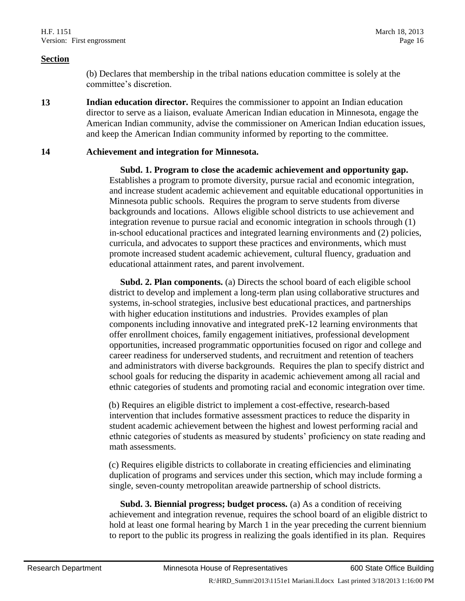(b) Declares that membership in the tribal nations education committee is solely at the committee's discretion.

**13 Indian education director.** Requires the commissioner to appoint an Indian education director to serve as a liaison, evaluate American Indian education in Minnesota, engage the American Indian community, advise the commissioner on American Indian education issues, and keep the American Indian community informed by reporting to the committee.

#### **14 Achievement and integration for Minnesota.**

 **Subd. 1. Program to close the academic achievement and opportunity gap.**  Establishes a program to promote diversity, pursue racial and economic integration, and increase student academic achievement and equitable educational opportunities in Minnesota public schools. Requires the program to serve students from diverse backgrounds and locations. Allows eligible school districts to use achievement and integration revenue to pursue racial and economic integration in schools through (1) in-school educational practices and integrated learning environments and (2) policies, curricula, and advocates to support these practices and environments, which must promote increased student academic achievement, cultural fluency, graduation and educational attainment rates, and parent involvement.

 **Subd. 2. Plan components.** (a) Directs the school board of each eligible school district to develop and implement a long-term plan using collaborative structures and systems, in-school strategies, inclusive best educational practices, and partnerships with higher education institutions and industries. Provides examples of plan components including innovative and integrated preK-12 learning environments that offer enrollment choices, family engagement initiatives, professional development opportunities, increased programmatic opportunities focused on rigor and college and career readiness for underserved students, and recruitment and retention of teachers and administrators with diverse backgrounds. Requires the plan to specify district and school goals for reducing the disparity in academic achievement among all racial and ethnic categories of students and promoting racial and economic integration over time.

(b) Requires an eligible district to implement a cost-effective, research-based intervention that includes formative assessment practices to reduce the disparity in student academic achievement between the highest and lowest performing racial and ethnic categories of students as measured by students' proficiency on state reading and math assessments.

(c) Requires eligible districts to collaborate in creating efficiencies and eliminating duplication of programs and services under this section, which may include forming a single, seven-county metropolitan areawide partnership of school districts.

 **Subd. 3. Biennial progress; budget process.** (a) As a condition of receiving achievement and integration revenue, requires the school board of an eligible district to hold at least one formal hearing by March 1 in the year preceding the current biennium to report to the public its progress in realizing the goals identified in its plan. Requires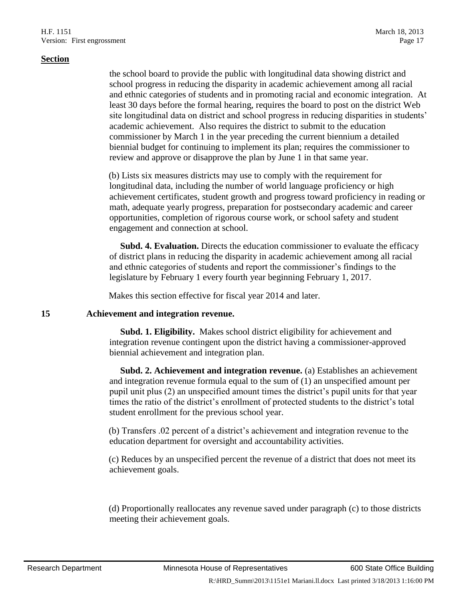the school board to provide the public with longitudinal data showing district and school progress in reducing the disparity in academic achievement among all racial and ethnic categories of students and in promoting racial and economic integration. At least 30 days before the formal hearing, requires the board to post on the district Web site longitudinal data on district and school progress in reducing disparities in students' academic achievement. Also requires the district to submit to the education commissioner by March 1 in the year preceding the current biennium a detailed biennial budget for continuing to implement its plan; requires the commissioner to review and approve or disapprove the plan by June 1 in that same year.

(b) Lists six measures districts may use to comply with the requirement for longitudinal data, including the number of world language proficiency or high achievement certificates, student growth and progress toward proficiency in reading or math, adequate yearly progress, preparation for postsecondary academic and career opportunities, completion of rigorous course work, or school safety and student engagement and connection at school.

 **Subd. 4. Evaluation.** Directs the education commissioner to evaluate the efficacy of district plans in reducing the disparity in academic achievement among all racial and ethnic categories of students and report the commissioner's findings to the legislature by February 1 every fourth year beginning February 1, 2017.

Makes this section effective for fiscal year 2014 and later.

#### **15 Achievement and integration revenue.**

 **Subd. 1. Eligibility.** Makes school district eligibility for achievement and integration revenue contingent upon the district having a commissioner-approved biennial achievement and integration plan.

 **Subd. 2. Achievement and integration revenue.** (a) Establishes an achievement and integration revenue formula equal to the sum of (1) an unspecified amount per pupil unit plus (2) an unspecified amount times the district's pupil units for that year times the ratio of the district's enrollment of protected students to the district's total student enrollment for the previous school year.

(b) Transfers .02 percent of a district's achievement and integration revenue to the education department for oversight and accountability activities.

(c) Reduces by an unspecified percent the revenue of a district that does not meet its achievement goals.

(d) Proportionally reallocates any revenue saved under paragraph (c) to those districts meeting their achievement goals.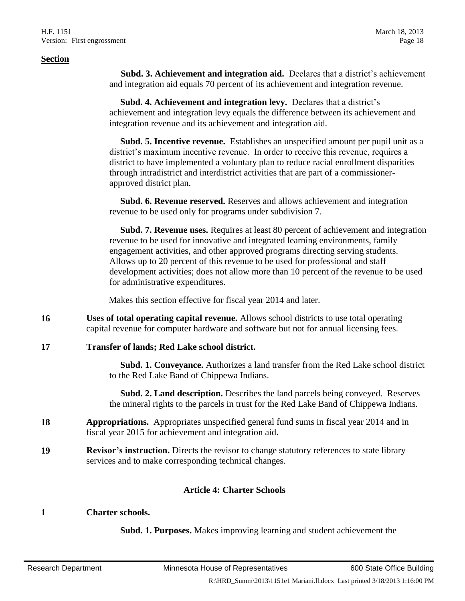**Subd. 3. Achievement and integration aid.** Declares that a district's achievement and integration aid equals 70 percent of its achievement and integration revenue.

 **Subd. 4. Achievement and integration levy.** Declares that a district's achievement and integration levy equals the difference between its achievement and integration revenue and its achievement and integration aid.

 **Subd. 5. Incentive revenue.** Establishes an unspecified amount per pupil unit as a district's maximum incentive revenue. In order to receive this revenue, requires a district to have implemented a voluntary plan to reduce racial enrollment disparities through intradistrict and interdistrict activities that are part of a commissionerapproved district plan.

 **Subd. 6. Revenue reserved.** Reserves and allows achievement and integration revenue to be used only for programs under subdivision 7.

 **Subd. 7. Revenue uses.** Requires at least 80 percent of achievement and integration revenue to be used for innovative and integrated learning environments, family engagement activities, and other approved programs directing serving students. Allows up to 20 percent of this revenue to be used for professional and staff development activities; does not allow more than 10 percent of the revenue to be used for administrative expenditures.

Makes this section effective for fiscal year 2014 and later.

- **16 Uses of total operating capital revenue.** Allows school districts to use total operating capital revenue for computer hardware and software but not for annual licensing fees.
- **17 Transfer of lands; Red Lake school district.**

 **Subd. 1. Conveyance.** Authorizes a land transfer from the Red Lake school district to the Red Lake Band of Chippewa Indians.

 **Subd. 2. Land description.** Describes the land parcels being conveyed. Reserves the mineral rights to the parcels in trust for the Red Lake Band of Chippewa Indians.

- **18 Appropriations.** Appropriates unspecified general fund sums in fiscal year 2014 and in fiscal year 2015 for achievement and integration aid.
- **19 Revisor's instruction.** Directs the revisor to change statutory references to state library services and to make corresponding technical changes.

#### **Article 4: Charter Schools**

#### **1 Charter schools.**

**Subd. 1. Purposes.** Makes improving learning and student achievement the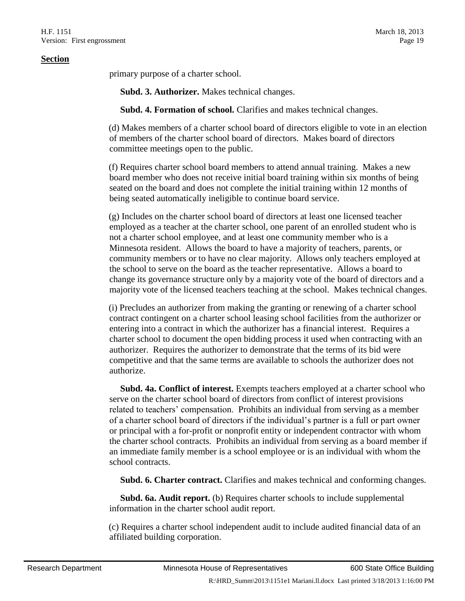primary purpose of a charter school.

**Subd. 3. Authorizer.** Makes technical changes.

**Subd. 4. Formation of school.** Clarifies and makes technical changes.

(d) Makes members of a charter school board of directors eligible to vote in an election of members of the charter school board of directors. Makes board of directors committee meetings open to the public.

(f) Requires charter school board members to attend annual training. Makes a new board member who does not receive initial board training within six months of being seated on the board and does not complete the initial training within 12 months of being seated automatically ineligible to continue board service.

(g) Includes on the charter school board of directors at least one licensed teacher employed as a teacher at the charter school, one parent of an enrolled student who is not a charter school employee, and at least one community member who is a Minnesota resident. Allows the board to have a majority of teachers, parents, or community members or to have no clear majority. Allows only teachers employed at the school to serve on the board as the teacher representative. Allows a board to change its governance structure only by a majority vote of the board of directors and a majority vote of the licensed teachers teaching at the school. Makes technical changes.

(i) Precludes an authorizer from making the granting or renewing of a charter school contract contingent on a charter school leasing school facilities from the authorizer or entering into a contract in which the authorizer has a financial interest. Requires a charter school to document the open bidding process it used when contracting with an authorizer. Requires the authorizer to demonstrate that the terms of its bid were competitive and that the same terms are available to schools the authorizer does not authorize.

 **Subd. 4a. Conflict of interest.** Exempts teachers employed at a charter school who serve on the charter school board of directors from conflict of interest provisions related to teachers' compensation. Prohibits an individual from serving as a member of a charter school board of directors if the individual's partner is a full or part owner or principal with a for-profit or nonprofit entity or independent contractor with whom the charter school contracts. Prohibits an individual from serving as a board member if an immediate family member is a school employee or is an individual with whom the school contracts.

**Subd. 6. Charter contract.** Clarifies and makes technical and conforming changes.

 **Subd. 6a. Audit report.** (b) Requires charter schools to include supplemental information in the charter school audit report.

(c) Requires a charter school independent audit to include audited financial data of an affiliated building corporation.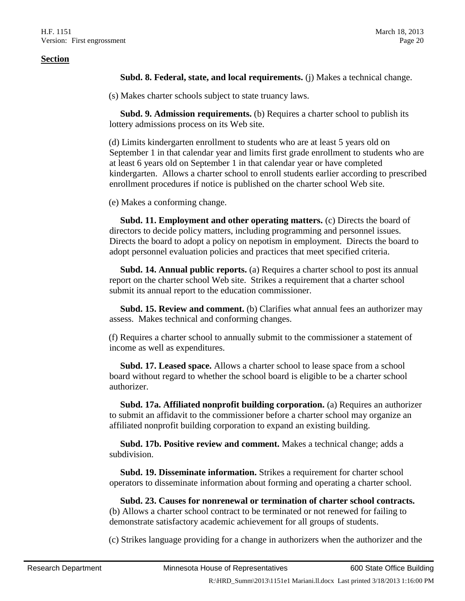**Subd. 8. Federal, state, and local requirements.** (j) Makes a technical change.

(s) Makes charter schools subject to state truancy laws.

**Subd. 9. Admission requirements.** (b) Requires a charter school to publish its lottery admissions process on its Web site.

(d) Limits kindergarten enrollment to students who are at least 5 years old on September 1 in that calendar year and limits first grade enrollment to students who are at least 6 years old on September 1 in that calendar year or have completed kindergarten. Allows a charter school to enroll students earlier according to prescribed enrollment procedures if notice is published on the charter school Web site.

(e) Makes a conforming change.

 **Subd. 11. Employment and other operating matters.** (c) Directs the board of directors to decide policy matters, including programming and personnel issues. Directs the board to adopt a policy on nepotism in employment. Directs the board to adopt personnel evaluation policies and practices that meet specified criteria.

 **Subd. 14. Annual public reports.** (a) Requires a charter school to post its annual report on the charter school Web site. Strikes a requirement that a charter school submit its annual report to the education commissioner.

 **Subd. 15. Review and comment.** (b) Clarifies what annual fees an authorizer may assess. Makes technical and conforming changes.

(f) Requires a charter school to annually submit to the commissioner a statement of income as well as expenditures.

 **Subd. 17. Leased space.** Allows a charter school to lease space from a school board without regard to whether the school board is eligible to be a charter school authorizer.

 **Subd. 17a. Affiliated nonprofit building corporation.** (a) Requires an authorizer to submit an affidavit to the commissioner before a charter school may organize an affiliated nonprofit building corporation to expand an existing building.

 **Subd. 17b. Positive review and comment.** Makes a technical change; adds a subdivision.

 **Subd. 19. Disseminate information.** Strikes a requirement for charter school operators to disseminate information about forming and operating a charter school.

 **Subd. 23. Causes for nonrenewal or termination of charter school contracts.** (b) Allows a charter school contract to be terminated or not renewed for failing to demonstrate satisfactory academic achievement for all groups of students.

(c) Strikes language providing for a change in authorizers when the authorizer and the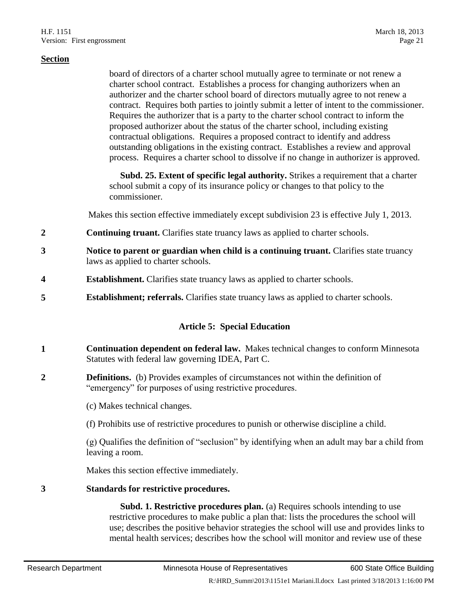board of directors of a charter school mutually agree to terminate or not renew a charter school contract. Establishes a process for changing authorizers when an authorizer and the charter school board of directors mutually agree to not renew a contract. Requires both parties to jointly submit a letter of intent to the commissioner. Requires the authorizer that is a party to the charter school contract to inform the proposed authorizer about the status of the charter school, including existing contractual obligations. Requires a proposed contract to identify and address outstanding obligations in the existing contract. Establishes a review and approval process. Requires a charter school to dissolve if no change in authorizer is approved.

 **Subd. 25. Extent of specific legal authority.** Strikes a requirement that a charter school submit a copy of its insurance policy or changes to that policy to the commissioner.

Makes this section effective immediately except subdivision 23 is effective July 1, 2013.

- **2 Continuing truant.** Clarifies state truancy laws as applied to charter schools.
- **3 Notice to parent or guardian when child is a continuing truant.** Clarifies state truancy laws as applied to charter schools.
- **4 Establishment.** Clarifies state truancy laws as applied to charter schools.
- **5 Establishment; referrals.** Clarifies state truancy laws as applied to charter schools.

#### **Article 5: Special Education**

- **1 Continuation dependent on federal law.** Makes technical changes to conform Minnesota Statutes with federal law governing IDEA, Part C.
- **2 Definitions.** (b) Provides examples of circumstances not within the definition of "emergency" for purposes of using restrictive procedures.

(c) Makes technical changes.

(f) Prohibits use of restrictive procedures to punish or otherwise discipline a child.

(g) Qualifies the definition of "seclusion" by identifying when an adult may bar a child from leaving a room.

Makes this section effective immediately.

#### **3 Standards for restrictive procedures.**

 **Subd. 1. Restrictive procedures plan.** (a) Requires schools intending to use restrictive procedures to make public a plan that: lists the procedures the school will use; describes the positive behavior strategies the school will use and provides links to mental health services; describes how the school will monitor and review use of these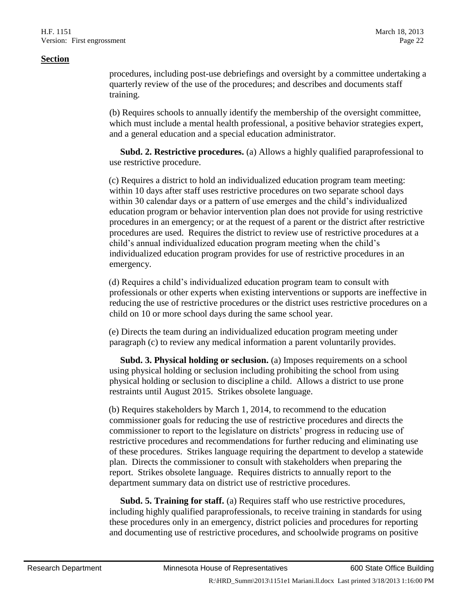procedures, including post-use debriefings and oversight by a committee undertaking a quarterly review of the use of the procedures; and describes and documents staff training.

(b) Requires schools to annually identify the membership of the oversight committee, which must include a mental health professional, a positive behavior strategies expert, and a general education and a special education administrator.

 **Subd. 2. Restrictive procedures.** (a) Allows a highly qualified paraprofessional to use restrictive procedure.

(c) Requires a district to hold an individualized education program team meeting: within 10 days after staff uses restrictive procedures on two separate school days within 30 calendar days or a pattern of use emerges and the child's individualized education program or behavior intervention plan does not provide for using restrictive procedures in an emergency; or at the request of a parent or the district after restrictive procedures are used. Requires the district to review use of restrictive procedures at a child's annual individualized education program meeting when the child's individualized education program provides for use of restrictive procedures in an emergency.

(d) Requires a child's individualized education program team to consult with professionals or other experts when existing interventions or supports are ineffective in reducing the use of restrictive procedures or the district uses restrictive procedures on a child on 10 or more school days during the same school year.

(e) Directs the team during an individualized education program meeting under paragraph (c) to review any medical information a parent voluntarily provides.

 **Subd. 3. Physical holding or seclusion.** (a) Imposes requirements on a school using physical holding or seclusion including prohibiting the school from using physical holding or seclusion to discipline a child. Allows a district to use prone restraints until August 2015. Strikes obsolete language.

(b) Requires stakeholders by March 1, 2014, to recommend to the education commissioner goals for reducing the use of restrictive procedures and directs the commissioner to report to the legislature on districts' progress in reducing use of restrictive procedures and recommendations for further reducing and eliminating use of these procedures. Strikes language requiring the department to develop a statewide plan. Directs the commissioner to consult with stakeholders when preparing the report. Strikes obsolete language. Requires districts to annually report to the department summary data on district use of restrictive procedures.

 **Subd. 5. Training for staff.** (a) Requires staff who use restrictive procedures, including highly qualified paraprofessionals, to receive training in standards for using these procedures only in an emergency, district policies and procedures for reporting and documenting use of restrictive procedures, and schoolwide programs on positive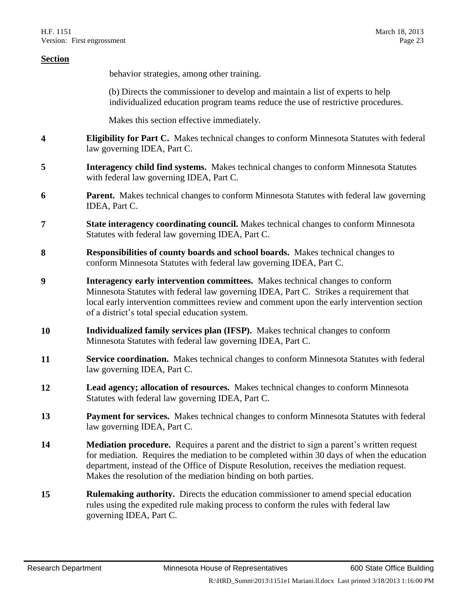| <b>Section</b> |                                                                                                                                                                                                                                                                                                                                                               |
|----------------|---------------------------------------------------------------------------------------------------------------------------------------------------------------------------------------------------------------------------------------------------------------------------------------------------------------------------------------------------------------|
|                | behavior strategies, among other training.                                                                                                                                                                                                                                                                                                                    |
|                | (b) Directs the commissioner to develop and maintain a list of experts to help<br>individualized education program teams reduce the use of restrictive procedures.                                                                                                                                                                                            |
|                | Makes this section effective immediately.                                                                                                                                                                                                                                                                                                                     |
| 4              | Eligibility for Part C. Makes technical changes to conform Minnesota Statutes with federal<br>law governing IDEA, Part C.                                                                                                                                                                                                                                     |
| 5              | Interagency child find systems. Makes technical changes to conform Minnesota Statutes<br>with federal law governing IDEA, Part C.                                                                                                                                                                                                                             |
| 6              | Parent. Makes technical changes to conform Minnesota Statutes with federal law governing<br>IDEA, Part C.                                                                                                                                                                                                                                                     |
| 7              | <b>State interagency coordinating council.</b> Makes technical changes to conform Minnesota<br>Statutes with federal law governing IDEA, Part C.                                                                                                                                                                                                              |
| 8              | Responsibilities of county boards and school boards. Makes technical changes to<br>conform Minnesota Statutes with federal law governing IDEA, Part C.                                                                                                                                                                                                        |
| 9              | Interagency early intervention committees. Makes technical changes to conform<br>Minnesota Statutes with federal law governing IDEA, Part C. Strikes a requirement that<br>local early intervention committees review and comment upon the early intervention section<br>of a district's total special education system.                                      |
| <b>10</b>      | Individualized family services plan (IFSP). Makes technical changes to conform<br>Minnesota Statutes with federal law governing IDEA, Part C.                                                                                                                                                                                                                 |
| 11             | <b>Service coordination.</b> Makes technical changes to conform Minnesota Statutes with federal<br>law governing IDEA, Part C.                                                                                                                                                                                                                                |
| 12             | Lead agency; allocation of resources. Makes technical changes to conform Minnesota<br>Statutes with federal law governing IDEA, Part C.                                                                                                                                                                                                                       |
| 13             | Payment for services. Makes technical changes to conform Minnesota Statutes with federal<br>law governing IDEA, Part C.                                                                                                                                                                                                                                       |
| 14             | <b>Mediation procedure.</b> Requires a parent and the district to sign a parent's written request<br>for mediation. Requires the mediation to be completed within 30 days of when the education<br>department, instead of the Office of Dispute Resolution, receives the mediation request.<br>Makes the resolution of the mediation binding on both parties. |
| 15             | <b>Rulemaking authority.</b> Directs the education commissioner to amend special education<br>rules using the expedited rule making process to conform the rules with federal law<br>governing IDEA, Part C.                                                                                                                                                  |